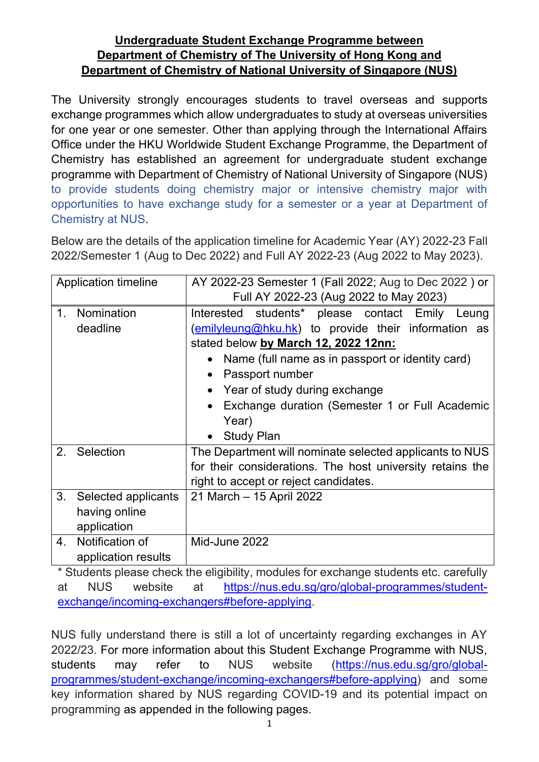## **Undergraduate Student Exchange Programme between Department of Chemistry of The University of Hong Kong and Department of Chemistry of National University of Singapore (NUS)**

The University strongly encourages students to travel overseas and supports exchange programmes which allow undergraduates to study at overseas universities for one year or one semester. Other than applying through the International Affairs Office under the HKU Worldwide Student Exchange Programme, the Department of Chemistry has established an agreement for undergraduate student exchange programme with Department of Chemistry of National University of Singapore (NUS) to provide students doing chemistry major or intensive chemistry major with opportunities to have exchange study for a semester or a year at Department of Chemistry at NUS.

Below are the details of the application timeline for Academic Year (AY) 2022-23 Fall 2022/Semester 1 (Aug to Dec 2022) and Full AY 2022-23 (Aug 2022 to May 2023).

| <b>Application timeline</b>                               | AY 2022-23 Semester 1 (Fall 2022; Aug to Dec 2022) or<br>Full AY 2022-23 (Aug 2022 to May 2023)                                                                                                                                                                                                                                                        |  |
|-----------------------------------------------------------|--------------------------------------------------------------------------------------------------------------------------------------------------------------------------------------------------------------------------------------------------------------------------------------------------------------------------------------------------------|--|
| Nomination<br>$1_{\cdot}$<br>deadline                     | Interested students* please contact Emily<br>Leung<br>(emilyleung@hku.hk) to provide their information as<br>stated below by March 12, 2022 12nn:<br>Name (full name as in passport or identity card)<br>Passport number<br>Year of study during exchange<br>Exchange duration (Semester 1 or Full Academic<br>Year)<br><b>Study Plan</b><br>$\bullet$ |  |
| Selection<br>2.                                           | The Department will nominate selected applicants to NUS<br>for their considerations. The host university retains the<br>right to accept or reject candidates.                                                                                                                                                                                          |  |
| 3.<br>Selected applicants<br>having online<br>application | 21 March - 15 April 2022                                                                                                                                                                                                                                                                                                                               |  |
| Notification of<br>4.<br>application results              | Mid-June 2022                                                                                                                                                                                                                                                                                                                                          |  |

\* Students please check the eligibility, modules for exchange students etc. carefully at NUS website at [https://nus.edu.sg/gro/global-programmes/student](https://nus.edu.sg/gro/global-programmes/student-exchange/incoming-exchangers#before-applying)[exchange/incoming-exchangers#before-applying.](https://nus.edu.sg/gro/global-programmes/student-exchange/incoming-exchangers#before-applying)

NUS fully understand there is still a lot of uncertainty regarding exchanges in AY 2022/23. For more information about this Student Exchange Programme with NUS, students may refer to NUS website [\(https://nus.edu.sg/gro/global](https://nus.edu.sg/gro/global-programmes/student-exchange/incoming-exchangers#before-applying)[programmes/student-exchange/incoming-exchangers#before-applying\)](https://nus.edu.sg/gro/global-programmes/student-exchange/incoming-exchangers#before-applying) and some key information shared by NUS regarding COVID-19 and its potential impact on programming as appended in the following pages.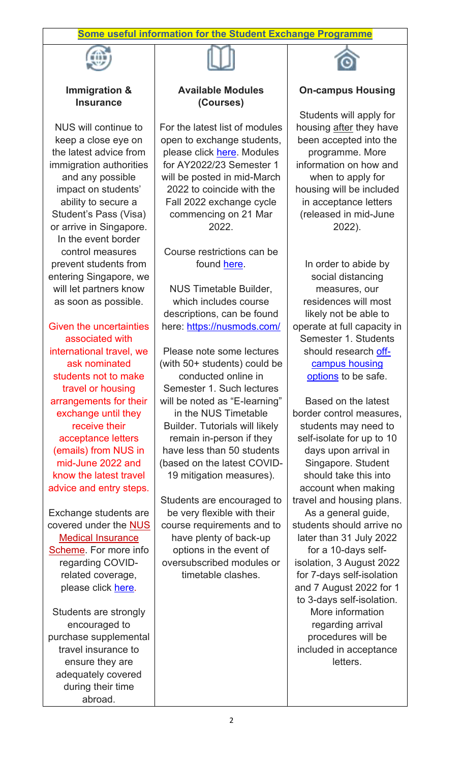### **Some useful information for the Student Exchange Programme**



### **Immigration & Insurance**

NUS will continue to keep a close eye on the latest advice from immigration authorities and any possible impact on students' ability to secure a Student's Pass (Visa) or arrive in Singapore. In the event border control measures prevent students from entering Singapore, we will let partners know as soon as possible.

Given the uncertainties associated with international travel, we ask nominated students not to make travel or housing arrangements for their exchange until they receive their acceptance letters (emails) from NUS in mid-June 2022 and know the latest travel advice and entry steps.

Exchange students are covered under the [NUS](https://urldefense.proofpoint.com/v2/url?u=http-3A__nus.edu.sg_uhc_general-2Dhealth_billing-2Dinsurance_insurance-2Dmatters-23international&d=DwMFAg&c=l45AxH-kUV29SRQusp9vYR0n1GycN4_2jInuKy6zbqQ&r=lvaGiQb9nsYw9to_xPqxC7eurbd0_ElS4LMkQCYm6II&m=GalxkvwYyqP9aBvZzDLLS0DqxhKYVkTKfJm04Y0UOek&s=Ds3OMN2kyafPJ6LP_oIFJF1xWHvOQY3J-eoCJda6dgA&e=)  [Medical Insurance](https://urldefense.proofpoint.com/v2/url?u=http-3A__nus.edu.sg_uhc_general-2Dhealth_billing-2Dinsurance_insurance-2Dmatters-23international&d=DwMFAg&c=l45AxH-kUV29SRQusp9vYR0n1GycN4_2jInuKy6zbqQ&r=lvaGiQb9nsYw9to_xPqxC7eurbd0_ElS4LMkQCYm6II&m=GalxkvwYyqP9aBvZzDLLS0DqxhKYVkTKfJm04Y0UOek&s=Ds3OMN2kyafPJ6LP_oIFJF1xWHvOQY3J-eoCJda6dgA&e=)  [Scheme.](https://urldefense.proofpoint.com/v2/url?u=http-3A__nus.edu.sg_uhc_general-2Dhealth_billing-2Dinsurance_insurance-2Dmatters-23international&d=DwMFAg&c=l45AxH-kUV29SRQusp9vYR0n1GycN4_2jInuKy6zbqQ&r=lvaGiQb9nsYw9to_xPqxC7eurbd0_ElS4LMkQCYm6II&m=GalxkvwYyqP9aBvZzDLLS0DqxhKYVkTKfJm04Y0UOek&s=Ds3OMN2kyafPJ6LP_oIFJF1xWHvOQY3J-eoCJda6dgA&e=) For more info regarding COVIDrelated coverage, please click [here.](https://urldefense.proofpoint.com/v2/url?u=http-3A__nus.edu.sg_uhc_docs_default-2Dsource_insurance_frequently-2Dasked-2Dquestions-2Don-2Dcovid-2D19.pdf&d=DwMFAg&c=l45AxH-kUV29SRQusp9vYR0n1GycN4_2jInuKy6zbqQ&r=lvaGiQb9nsYw9to_xPqxC7eurbd0_ElS4LMkQCYm6II&m=GalxkvwYyqP9aBvZzDLLS0DqxhKYVkTKfJm04Y0UOek&s=YwPv1yuV7vpgfZ1lDHdVS_H8hWqKnWp1Yti28K1oSdM&e=)

Students are strongly encouraged to purchase supplemental travel insurance to ensure they are adequately covered during their time abroad.



# **Available Modules (Courses)**

For the latest list of modules open to exchange students, please click [here.](https://urldefense.proofpoint.com/v2/url?u=http-3A__www.nus.edu.sg_registrar_docs_info_prospective-2Dstudents-2D-2D-2Dnon-2Dgraduating_ng-2Dmodules.pdf&d=DwMFAg&c=l45AxH-kUV29SRQusp9vYR0n1GycN4_2jInuKy6zbqQ&r=lvaGiQb9nsYw9to_xPqxC7eurbd0_ElS4LMkQCYm6II&m=GalxkvwYyqP9aBvZzDLLS0DqxhKYVkTKfJm04Y0UOek&s=3XjnsDDsEaFPslqdYiXbCKbHyP1RYyrjA5dEjfWZ52o&e=) Modules for AY2022/23 Semester 1 will be posted in mid-March 2022 to coincide with the Fall 2022 exchange cycle commencing on 21 Mar 2022.

Course restrictions can be found [here.](https://urldefense.proofpoint.com/v2/url?u=http-3A__www.nus.edu.sg_registrar_docs_info_prospective-2Dstudents-2D-2D-2Dnon-2Dgraduating_non-2Dgraduating-2Dmodule-2Drestrictions.pdf&d=DwMFAg&c=l45AxH-kUV29SRQusp9vYR0n1GycN4_2jInuKy6zbqQ&r=lvaGiQb9nsYw9to_xPqxC7eurbd0_ElS4LMkQCYm6II&m=GalxkvwYyqP9aBvZzDLLS0DqxhKYVkTKfJm04Y0UOek&s=USiUd1eQNUovFKyswe5p9tTzkckDjjmflZjC41U1H0U&e=)

NUS Timetable Builder, which includes course descriptions, can be found here: <https://nusmods.com/>

Please note some lectures (with 50+ students) could be conducted online in Semester 1. Such lectures will be noted as "E-learning" in the NUS Timetable Builder. Tutorials will likely remain in-person if they have less than 50 students (based on the latest COVID-19 mitigation measures).

Students are encouraged to be very flexible with their course requirements and to have plenty of back-up options in the event of oversubscribed modules or timetable clashes.



## **On-campus Housing**

Students will apply for housing after they have been accepted into the programme. More information on how and when to apply for housing will be included in acceptance letters (released in mid-June 2022).

In order to abide by social distancing measures, our residences will most likely not be able to operate at full capacity in Semester 1. Students should research [off](https://urldefense.proofpoint.com/v2/url?u=http-3A__nus.edu.sg_osa_student-2Dservices_hostel-2Dadmission_other-2Daccommodation&d=DwMFAg&c=l45AxH-kUV29SRQusp9vYR0n1GycN4_2jInuKy6zbqQ&r=lvaGiQb9nsYw9to_xPqxC7eurbd0_ElS4LMkQCYm6II&m=GalxkvwYyqP9aBvZzDLLS0DqxhKYVkTKfJm04Y0UOek&s=S144T6E3GUvj-Eh_HoGQoNo5nS9PS1wk2ukRUN2CPV4&e=)[campus housing](https://urldefense.proofpoint.com/v2/url?u=http-3A__nus.edu.sg_osa_student-2Dservices_hostel-2Dadmission_other-2Daccommodation&d=DwMFAg&c=l45AxH-kUV29SRQusp9vYR0n1GycN4_2jInuKy6zbqQ&r=lvaGiQb9nsYw9to_xPqxC7eurbd0_ElS4LMkQCYm6II&m=GalxkvwYyqP9aBvZzDLLS0DqxhKYVkTKfJm04Y0UOek&s=S144T6E3GUvj-Eh_HoGQoNo5nS9PS1wk2ukRUN2CPV4&e=)  [options](https://urldefense.proofpoint.com/v2/url?u=http-3A__nus.edu.sg_osa_student-2Dservices_hostel-2Dadmission_other-2Daccommodation&d=DwMFAg&c=l45AxH-kUV29SRQusp9vYR0n1GycN4_2jInuKy6zbqQ&r=lvaGiQb9nsYw9to_xPqxC7eurbd0_ElS4LMkQCYm6II&m=GalxkvwYyqP9aBvZzDLLS0DqxhKYVkTKfJm04Y0UOek&s=S144T6E3GUvj-Eh_HoGQoNo5nS9PS1wk2ukRUN2CPV4&e=) to be safe.

Based on the latest border control measures, students may need to self-isolate for up to 10 days upon arrival in Singapore. Student should take this into account when making travel and housing plans. As a general guide, students should arrive no later than 31 July 2022 for a 10-days selfisolation, 3 August 2022 for 7-days self-isolation and 7 August 2022 for 1 to 3-days self-isolation. More information regarding arrival procedures will be included in acceptance letters.